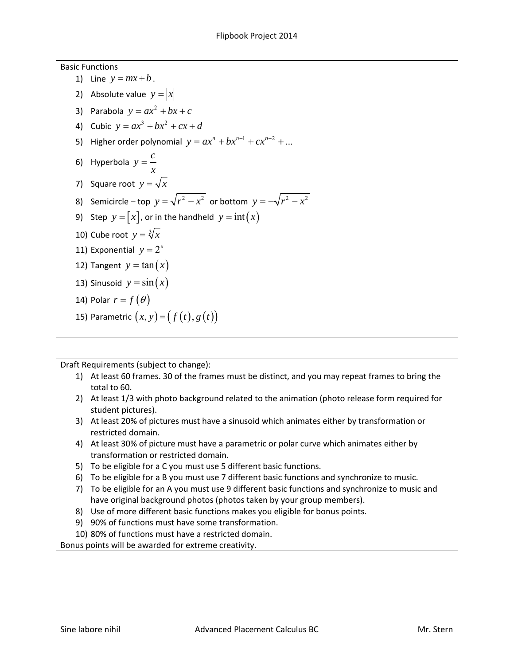Basic Functions 1) Line  $y = mx + b$ . 2) Absolute value  $y = |x|$ 3) Parabola  $y = ax^2 + bx + c$ 4) Cubic  $y = ax^3 + bx^2 + cx + d$ 5) Higher order polynomial  $y = ax^n + bx^{n-1} + cx^{n-2} + ...$ 6) Hyperbola  $y = \frac{c}{x}$ 7) Square root  $y = \sqrt{x}$ 8) Semicircle – top  $y = \sqrt{r^2 - x^2}$  or bottom  $y = -\sqrt{r^2 - x^2}$ 9) Step  $y = [x]$ , or in the handheld  $y = int(x)$ 10) Cube root  $y = \sqrt[3]{x}$ 11) Exponential  $y = 2^x$ 12) Tangent  $y = \tan(x)$ 13) Sinusoid  $y = sin(x)$ 14) Polar  $r = f(\theta)$ 15) Parametric  $(x, y) = (f(t), g(t))$ 

Draft Requirements (subject to change):

- 1) At least 60 frames. 30 of the frames must be distinct, and you may repeat frames to bring the total to 60.
- 2) At least 1/3 with photo background related to the animation (photo release form required for student pictures).
- 3) At least 20% of pictures must have a sinusoid which animates either by transformation or restricted domain.
- 4) At least 30% of picture must have a parametric or polar curve which animates either by transformation or restricted domain.
- 5) To be eligible for a C you must use 5 different basic functions.
- 6) To be eligible for a B you must use 7 different basic functions and synchronize to music.
- 7) To be eligible for an A you must use 9 different basic functions and synchronize to music and have original background photos (photos taken by your group members).
- 8) Use of more different basic functions makes you eligible for bonus points.
- 9) 90% of functions must have some transformation.
- 10) 80% of functions must have a restricted domain.

Bonus points will be awarded for extreme creativity.